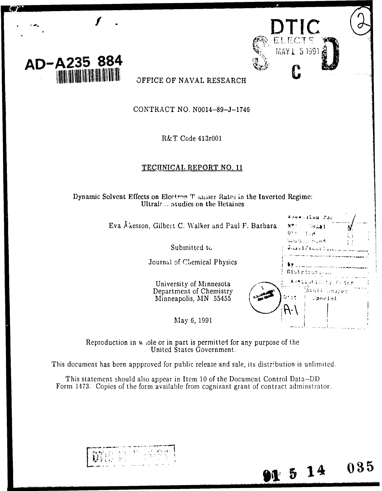

OFFICE OF NAVAL RESEARCH

CONTRACT NO. N0014-89-J-1746

R&T Code 413r001

### TECHNICAL REPORT NO. 11

Dynamic Solvent Effects on Electron Thansier Rates in the Inverted Regime: Ultrafass studies on the Betaines

Eva Åkesson, Gilbert C. Walker and Paul F. Ba

Submitted to

Journal of Chemical Physics

University of Minnesota Department of Chemistry Minneapolis, MN 55455

|        | 有法疑惑的复数形式 黑色的                                                                                  |  |
|--------|------------------------------------------------------------------------------------------------|--|
| arbara | NT 1.<br><b>SRAWI</b><br>אקטור היית<br>batura. Ee Huwit<br><b><i>August Property Colle</i></b> |  |
|        | š٧<br>Districution/<br>A (Milatil) by Codie                                                    |  |
|        | Myati waayer<br>brał<br><b>Spheinl</b>                                                         |  |
|        |                                                                                                |  |
|        |                                                                                                |  |

 $91514$ 

 $035$ 

Reproduction in whole or in part is permitted for any purpose of the United States Government.

May 6, 1991

This document has been appproved for public release and sale, its distribution is unlimited.

This statement should also appear in Item 10 of the Document Control Data-DID Form 1473. Copies of the form available from cognizant grant of contract adminstrator.

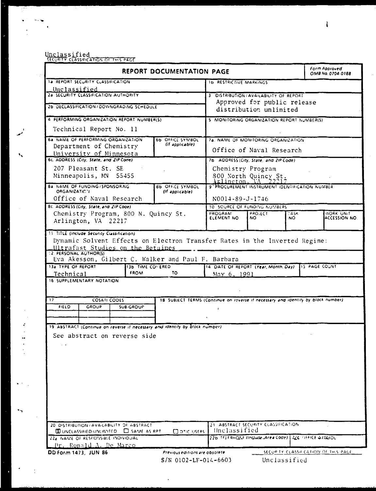# Unclassified<br>SECURITY CLASSIFICATION OF THIS PAGE

 $\frac{1}{\sqrt{2}}\sum_{i=1}^{n} \frac{1}{\sqrt{2}}\left(\frac{1}{\sqrt{2}}\right)^2\left(\frac{1}{\sqrt{2}}\right)^2$ 

 $\frac{1}{2}$ 

 $\mathbf{v}_k$ 

 $\bar{\phantom{a}}$ 

 $\mathbf{v}^{(1)}$ 

 $\ddot{\phantom{a}}$ 

 $\cdot$ 

 $\frac{1}{2}$ 

| <b>REPORT DOCUMENTATION PAGE</b>                                                  |                                                                |                  |             |                                                                                   |                                                                    | Form Approved<br>OMB No. 0704-0188          |              |                   |                                      |
|-----------------------------------------------------------------------------------|----------------------------------------------------------------|------------------|-------------|-----------------------------------------------------------------------------------|--------------------------------------------------------------------|---------------------------------------------|--------------|-------------------|--------------------------------------|
| <b>1a REPORT SECURITY CLASSIFICATION</b>                                          |                                                                |                  |             |                                                                                   | <b>1b RESTRICTIVE MARKINGS</b>                                     |                                             |              |                   |                                      |
| Unclassified                                                                      |                                                                |                  |             |                                                                                   |                                                                    |                                             |              |                   |                                      |
| 2a SECURITY CLASSIFICATION AUTHORITY                                              |                                                                |                  |             |                                                                                   | 3 DISTRIBUTION/AVAILABILITY OF REPORT                              |                                             |              |                   |                                      |
| 2b DECLASSIFICATION/DOWNGRADING SCHEDULE                                          |                                                                |                  |             |                                                                                   | Approved for public release                                        |                                             |              |                   |                                      |
|                                                                                   |                                                                |                  |             |                                                                                   | distribution unlimited                                             |                                             |              |                   |                                      |
| 4 PERFORMING ORGANIZATION REPORT NUMBER(S)                                        |                                                                |                  |             |                                                                                   | 5 MONITORING ORGANIZATION REPORT NUMBER(S)                         |                                             |              |                   |                                      |
|                                                                                   | Technical Report No. 11                                        |                  |             |                                                                                   |                                                                    |                                             |              |                   |                                      |
| 6a NAME OF PERFORMING ORGANIZATION<br>6b OFFICE SYMBOL                            |                                                                |                  |             |                                                                                   | 7a. NAME OF MONITORING ORGANIZATION                                |                                             |              |                   |                                      |
| (if applicable)<br>Department of Chemistry                                        |                                                                |                  |             |                                                                                   | Office of Naval Research                                           |                                             |              |                   |                                      |
| University of Minnesota                                                           |                                                                |                  |             |                                                                                   |                                                                    |                                             |              |                   |                                      |
| 6c. ADDRESS (City, State, and ZIP Code)                                           |                                                                |                  |             |                                                                                   | 7b ADDRESS (City, State, and ZIP Code)                             |                                             |              |                   |                                      |
|                                                                                   | 207 Pleasant St. SE                                            |                  |             |                                                                                   | Chemistry Program                                                  |                                             |              |                   |                                      |
|                                                                                   | Minneapolis, MN 55455                                          |                  |             |                                                                                   |                                                                    | 800 North Quincy St.<br>Arlington, VA 22217 |              |                   |                                      |
|                                                                                   | <b>Ba NAME OF FUNDING/SPONSORING</b>                           |                  |             | <b>BD OFFICE SYMBOL</b>                                                           | 9 PROCUREMENT INSTRUMENT IDENTIFICATION NUMBER                     |                                             |              |                   |                                      |
| ORGANIZATIC'I                                                                     |                                                                |                  |             | (If applicable)                                                                   |                                                                    |                                             |              |                   |                                      |
|                                                                                   | Office of Naval Research                                       |                  |             |                                                                                   | N0014-89-J-1746                                                    |                                             |              |                   |                                      |
|                                                                                   | Bc. ADDRESS (City, State, and ZIP Code)                        |                  |             |                                                                                   | 10 SQURCE OF FUNDING NUMBERS                                       |                                             |              |                   |                                      |
|                                                                                   | Chemistry Program, 800 N. Quincy St.                           |                  |             |                                                                                   | <b>PROGRAM</b><br>ELEMENT NO                                       | PROJECT<br>NO.                              | TASK.<br>NO. |                   | <b>WORK UNIT</b><br>ACCESSION NO.    |
|                                                                                   | Arlington, VA 22217                                            |                  |             |                                                                                   |                                                                    |                                             |              |                   |                                      |
| Technical                                                                         | Ultrafast Studies on the Betaines<br>16 SUPPLEMENTARY NOTATION |                  | <b>FROM</b> | Eva Akesson, Gilbert C. Walker and Paul F. Barbara<br>13b TIME COVERED<br>TO      | 14 DATE OF REPORT (Year, Month, Day) 115 PAGE COUNT<br>May 6, 1991 |                                             |              |                   |                                      |
|                                                                                   |                                                                |                  |             |                                                                                   |                                                                    |                                             |              |                   |                                      |
|                                                                                   | <b>COSATI CODES</b>                                            |                  |             | 18 SUBJECT TERMS (Continue on reverse if necessary and identify by block number). |                                                                    |                                             |              |                   |                                      |
| <b>FIELD</b>                                                                      | <b>GROUP</b>                                                   | <b>SUB-GROUP</b> |             |                                                                                   | $\mathbf{f}$                                                       |                                             |              |                   |                                      |
|                                                                                   |                                                                |                  |             |                                                                                   |                                                                    |                                             |              |                   |                                      |
|                                                                                   |                                                                |                  |             | 19 ABSTRACT (Continue on reverse if necessary and identify by block number)       |                                                                    |                                             |              |                   |                                      |
|                                                                                   |                                                                |                  |             |                                                                                   |                                                                    |                                             |              |                   |                                      |
|                                                                                   | See abstract on reverse side                                   |                  |             |                                                                                   |                                                                    |                                             |              |                   |                                      |
| $\sim$ $\sim$                                                                     |                                                                |                  |             |                                                                                   |                                                                    |                                             |              |                   |                                      |
|                                                                                   |                                                                |                  |             |                                                                                   |                                                                    |                                             |              |                   |                                      |
|                                                                                   |                                                                |                  |             |                                                                                   |                                                                    |                                             |              |                   |                                      |
|                                                                                   |                                                                |                  |             |                                                                                   |                                                                    |                                             |              |                   |                                      |
|                                                                                   |                                                                |                  |             |                                                                                   |                                                                    |                                             |              |                   |                                      |
|                                                                                   |                                                                |                  |             |                                                                                   |                                                                    |                                             |              |                   |                                      |
|                                                                                   |                                                                |                  |             |                                                                                   |                                                                    |                                             |              |                   |                                      |
|                                                                                   |                                                                |                  |             |                                                                                   |                                                                    |                                             |              |                   |                                      |
|                                                                                   |                                                                |                  |             |                                                                                   |                                                                    |                                             |              |                   |                                      |
|                                                                                   |                                                                |                  |             |                                                                                   |                                                                    |                                             |              |                   |                                      |
|                                                                                   | 20 DISTRIBUTION/AVAILABILITY OF ABSTRACT                       |                  |             |                                                                                   |                                                                    | 21 ABSTRACT SECURITY CLASSIFICATION         |              |                   |                                      |
|                                                                                   | <b>WUNCLASSIFIED:UNLIMITED</b> C SAME AS RPT                   |                  |             | $\square$ $\square$ $\square$ $\square$ $\square$                                 | <b>Ilnelassified</b>                                               |                                             |              |                   |                                      |
|                                                                                   | 22a NAME OF RESPONSIBLE INDIVIDUAL                             |                  |             |                                                                                   |                                                                    | 22b TFIFRHONF linclude Area Code)           |              | 22C OFFICE STANDL |                                      |
| <b>:2. PERSONAL AUTHOR(S)</b><br>13a TYPE OF REPORT<br>17<br>DD Form 1473, JUN 86 | Dr. Ronald A. De Marco                                         |                  |             | Previous editions are obsolete                                                    |                                                                    |                                             |              |                   | SECUPITY CLASSIF CATION OF THIS PACE |

 $\ddot{\phantom{a}}$ 

 $\bar{\mathcal{A}}$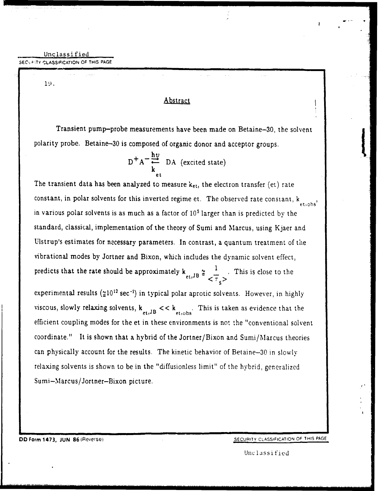Unclassified SEC-..TY **CLASSIFICATION** OF **THIS PAGE**

19.

### Abstract

Transient pump-probe measurements have been made on Betaine-30, the solvent polarity probe. Betaine-30 is composed of organic donor and acceptor groups.

$$
D^{+}A^{-}\frac{hv}{k}\nvert_{et}
$$
 DA (excited state)

The transient data has been analyzed to measure  $k_{\text{et}}$ , the electron transfer (et) rate constant, in polar solvents for this inverted regime et. The observed rate constant,  $k_{\text{et,obs}}$ in various polar solvents is as much as a factor of **105** larger than is predicted by the standard, classical, implementation of the theory of Sumi and Marcus, using Kjaer and Ulstrup's estimates for necessary parameters. In contrast, a quantum treatment of the vibrational modes by Jortner and Bixon, which includes the dynamic solvent effect, predicts that the rate should be approximately k • 1 This is close to the **<sup>p</sup>**~~~~tJB **= -'' .** Thsi loet>h experimental results ( $\leq 10^{12}$  sec<sup>-1</sup>) in typical polar aprotic solvents. However, in highly viscous, slowly relaxing solvents,  $k_{et,JB} << k_{et,obs}$ . This is taken as evidence that the efficient coupling modes for the et in these environments is not the "conventional solvent coordinate." It is shown that a hybrid of the Jortner/Bixon and Sumi/Marcus theories can physically account for the results. The kinetic behavior of Betaine-30 in slowly relaxing solvents is shown to be in the "diffusionless limit" of the hybrid, generalized Sumi-Marcus/Jortner-Bixon picture.

Unclassified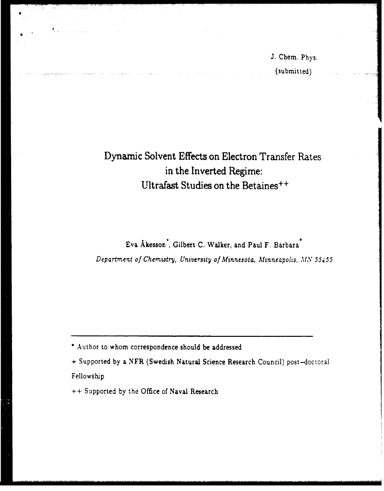J. Chem. Phys. (submitted)

## Dynamic Solvent Effects on Electron Transfer Rates in the Inverted Regime: Ultrafast Studies on the Betaines++

Eva Akesson", Gilbert C. Walker, and Paul F. Barbara Department of Chemristry, University of Minnesota, Minneapolis, *MN 55455*

" Author to whom correspondence should be addressed

**+** Supported by a NFR (Swedish Natural Science Research Council) post-doctoral Fellowship

**++** Supported by the Office of Naval Research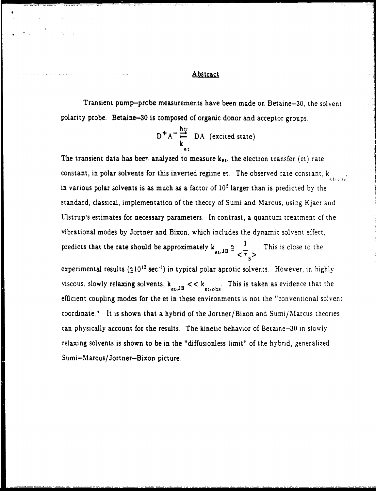### Abstract

Transient pump-probe measurements have been made on Betaine-30, the solvent polarity probe. Betaine-30 is composed of organic donor and acceptor groups.

$$
D^{+}A^{-} \frac{hv}{k_{et}} DA \text{ (excited state)}
$$

The transient data has been analyzed to measure  $k_{\text{et}}$ , the electron transfer (et) rate constant, in polar solvents for this inverted regime et. The observed rate constant,  $k_{\text{etobs}}$ in various polar solvents is as much as a factor of **105** larger than is predicted by the standard, classical, implementation of the theory of Sumi and Marcus, using Kjaer and Ulstrup's estimates for necessary parameters. In contrast, a quantum treatment of the vibrational modes by Jortner and Bixon, which includes the dynamic solvent effect. predicts that the rate should be approximately  $k_{1}$ ,  $\frac{1}{2}$   $\frac{1}{2}$ . This is close to the  $\epsilon$ <sup>t, $\epsilon$ </sup>  $\epsilon$   $\tau$ 

experimental results ( $210^{12}$  sec<sup>-1</sup>) in typical polar aprotic solvents. However, in highly viscous, slowly relaxing solvents,  $k_{et,JB}$  <  $k_{et,obs}$ . This is taken as evidence that the efficient coupling modes for the et in these environments is not the "conventional solvent coordinate." It is shown that a hybrid of the Jortner/Bixon and Sumi/Marcus theories can physically account for the results. The kinetic behavior of Betaine-30 in slowly relaxing solvents is shown to be in the "diffusionless limit" of the hybrid, generalized Sumi-Marcus/Jortner-Bixon picture.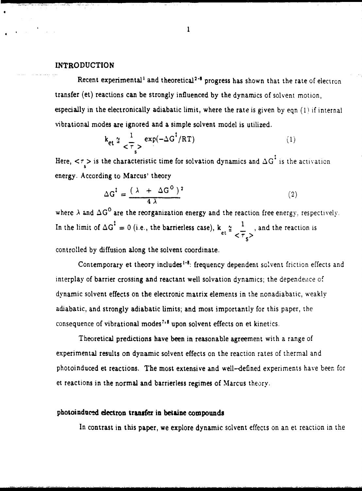### **INTRODUCTION**

Recent experimental<sup>1</sup> and theoretical<sup>2-8</sup> progress has shown that the rate of electron transfer (et) reactions can be strongly influenced by the dynamics of solvent motion, especially in the electronically adiabatic limit, where the rate is given by eqn **(1)** if internal vibrational modes are ignored and a simple solvent model is utilized.

$$
k_{\text{et}} \n\stackrel{\sim}{=} \frac{1}{\tau_s} \exp(-\Delta G^{\dagger}/RT) \tag{1}
$$

Here,  $\langle \tau \rangle$  is the characteristic time for solvation dynamics and  $\Delta G^{\ddagger}$  is the activation energy. According to Marcus' theory

$$
\Delta G^{\dagger} = \frac{(\lambda + \Delta G^{\circ})^2}{4\lambda} \tag{2}
$$

where  $\lambda$  and  $\Delta G^0$  are the reorganization energy and the reaction free energy, respectively. In the limit of  $\Delta G^* = 0$  (i.e., the barrierless case),  $k \geq \frac{1}{n}$ , and the reaction is  $\langle \tau_{\epsilon} \rangle$ 

controlled by diffusion along the solvent coordinate.

Contemporary et theory includes<sup>1-8</sup>: frequency dependent solvent friction effects and interplay of barrier crossing and reactant well solvation dynamics; the dependeice of dynamic solvent effects on the electronic matrix elements in the nonadiabatic, weakly adiabatic, and strongly adiabatic limits; and most importantly for this paper, the consequence of vibrational modes<sup>7,8</sup> upon solvent effects on et kinetics.

Theoretical predictions have been in reasonable agreement with a range of experimental results on dynamic solvent effects on the reaction rates of thermal and photoinduced et reactions. The most extensive and well-defined experiments have been for et reactions in the normal and barrierless regimes of Marcus theory.

### photoinduced electron **transfer** in **betaine** compounds

In contrast in this paper, we explore dynamic solvent effects on an et reaction in the

 $\mathbf{1}$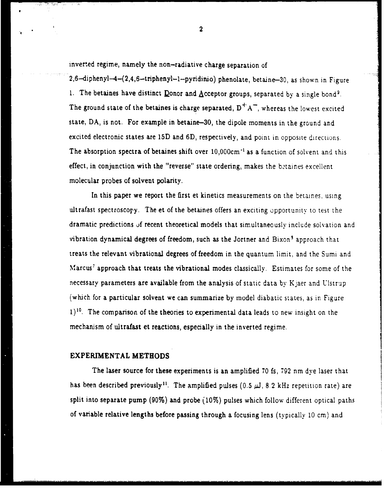inverted regime, namely the non-radiative charge separation of

2,6-diphenyl-4-(2,4,6-triphenyl-1--pyridinio) phenolate, betaine-30, as shown in Figure 1. The betaines have distinct Donor and Acceptor groups, separated by a single bond<sup>9</sup>. The ground state of the betaines is charge separated,  $D^+ A^-$ , whereas the lowest excited state, DA, is not. For example in betaine-30, the dipole moments in the ground and excited electronic states are 15D and 6D, respectively, and point in opposite directions. The absorption spectra of betaines shift over 10,000cm<sup>-1</sup> as a function of solvent and this effect, in conjunction with the "reverse" state ordering, makes the betaines excellent molecular probes of solvent polarity.

In this paper we report the first et kinetics measurements on the betaines, using ultrafast spectroscopy. The et of the betaines offers an exciting opportunity to test the dramatic predictions **of** recent theoretical models that simultaneously include solvation and vibration dynamical degrees of freedom, such as the Jortner and Bixon<sup>9</sup> approach that treats the relevant vibrational degrees of freedom in the quantum limit, and the Sumi and Marcus<sup>7</sup> approach that treats the vibrational modes classically. Estimates for some of the necessary parameters are available from the analysis of static data by Kjaer and Ulstrup (which for a particular solvent we can summarize by model diabatic states, as in Figure **1)10.** The comparison of the theories to experimental data leads to new insight on the mechanism of ultrafast et reactions, especially in the inverted regime.

### EXPERIMENTAL **METHODS**

The laser source for these experiments is an amplified 70 fs, 792 nm dye laser that has been described previously<sup>11</sup>. The amplified pulses (0.5  $\mu$ J, 8.2 kHz repetition rate) are split into separate pump (90%) and probe (10%) pulses which follow different optical paths of variable relative lengths before passing through a focusing lens (typically **10** cm) and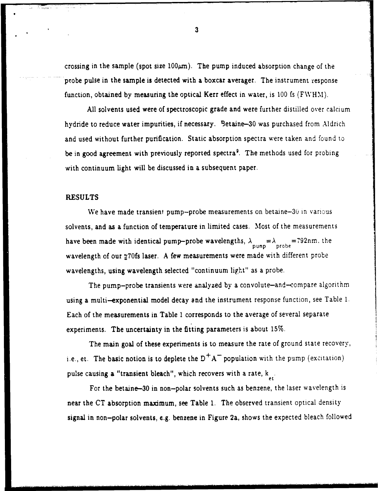crossing in the sample (spot size  $100\mu$ m). The pump induced absorption change of the probe pulse in the sample is detected with a boxcar averager. The instrument response function, obtained by measuring the optical Kerr effect in water, is 100 fs (FWHM).

All solvents used were of spectroscopic grade and were further distilled over calcium hydride to reduce water impurities, if necessary. Betaine-30 was purchased from Aldrich and used without further purification. Static absorption spectra were taken and found to be in good agreement with previously reported spectra<sup>9</sup>. The methods used for probing with continuum light will be discussed in a subsequent paper.

### RESULTS

We have made transient pump-probe measurements on betaine- $30$  in various. solvents, and as a function of temperature in limited cases. Most of the measurements have been made with identical pump-probe wavelengths,  $\lambda_{\text{pump}} = \lambda_{\text{probe}} = 792$ nm. the wavelength of our 270fs laser. A few measurements were made with different probe wavelengths, using wavelength selected "continuum light" as a probe.

The pump-probe transients were analyzed by a convolute-and-compare algorithm using a multi-exponential model decay and the instrument response function, see Table 1. Each of the measurements in Table **I** corresponds to the average of several separate experiments. The uncertainty in the fitting parameters is about 15%.

The main goal of these experiments is to measure the rate of ground state recovery, i.e., et. The basic notion is to deplete the D<sup>+</sup>A<sup>-</sup> population with the pump (excitation) pulse causing a "transient bleach", which recovers with a rate,  $k_{e}$ .

For the betaine-30 in non-polar solvents such as benzene, the laser wavelength is near the CT absorption maximum, see Table 1. The observed transient optical density signal in non-polar solvents, e.g. benzene in Figure 2a, shows the expected bleach followed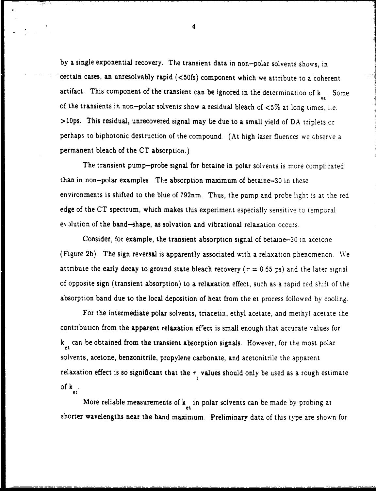by a single exponential recovery. The transient data in non-polar solvents shows, in certain cases, an unresolvably rapid (<50fs) component which we attribute to a coherent artifact. This component of the transient can be ignored in the determination of  $k_{\text{gt}}$ . Some of the transients in non-polar solvents show a residual bleach of  $<5\%$  at long times, i.e. >10ps. This residual, unrecovered signal may be due to a small yield of DA triplets or perhaps to biphotonic destruction of the compound. (At high laser fluences we observe a permanent bleach of the CT absorption.)

The transient pump-probe signal for betaine in polar solvents is more complicated than in non-polar examples. The absorption maximum of betaine-30 in these environments is shifted to the blue of 792nm. Thus, the pump and probe light is at the red edge of the CT spectrum, which makes this experiment especially sensitive to temporal ey plution of the band-shape, as solvation and vibrational relaxation occurs.

Consider, for example, the transient absorption signal of betaine-30 in acetone (Figure 2b). The sign reversal is apparently associated with a relaxation phenomenon. We attribute the early decay to ground state bleach recovery ( $\tau = 0.65$  ps) and the later signal of opposite sign (transient absorption) to a relaxation effect, such as a rapid red shift of the absorption band due to the local deposition of heat from the et process followed by cooling.

For the intermediate polar solvents, triacetin, ethyl acetate, and methyl acetate the contribution from the apparent relaxation efrect is small enough that accurate values for  $k_{1}$  can be obtained from the transient absorption signals. However, for the most polar solvents, acetone, benzonitrile, propylene carbonate, and acetonitrile the apparent relaxation effect is so significant that the  $\tau$ , values should only be used as a rough estimate of **k** et

Mote reliable measurements of k in polar solvents can be made by probing at  $\frac{e}{dt}$ . The shorter wavelengths near the band maximum. Preliminary data of this type are shown for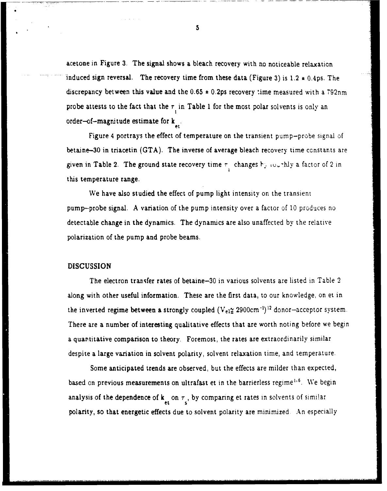acetone in Figure 3. The signal shows a bleach recovery with no noticeable relaxation induced sign reversal. The recovery time from these data (Figure 3) is 1.2 **\*** 0.4ps. The discrepancy between this value and the 0.65 **\*** 0.2ps recovery time measured with a 792nm probe attests to the fact that the  $\tau$  in Table 1 for the most polar solvents is only an order-of-magnitude estimate for  $k_{at}$ 

Figure 4 portrays the effect of temperature on the transient pump-probe signal of betaine-30 in triacetin (GTA). The inverse of average bleach recovery time constants are given in Table 2. The ground state recovery time  $\tau$ <sub>,</sub> changes **K**,  $\omega$ , thly a factor of 2 in this temperature range.

We have also studied the effect of pump light intensity on the transient pump-probe signal. A variation of the pump intensity over a factor of **10** produces no detectable change in the dynamics. The dynamics are also unaffected by the relative polarization of the pump and probe beams.

### DISCUSSION

The electron trarsfer rates of betaine-30 in various solvents are listed in Table 2 along with other useful information. These are the first data, to our knowledge, on et in the inverted regime between a strongly coupled  $(V_{e1}^{\alpha}$  2900cm<sup>-1</sup>)<sup>12</sup> donor-acceptor system. There are a number of interesting qualitative effects that are worth noting before we begin a quantitative comparison to theory. Foremost, the rates are extraordinarily similar despite a large variation in solvent polarity, solvent relaxation time, and temperature.

Some anticipated trends are observed, but the effects are milder than expected, based on previous measurements on ultrafast et in the barrierless regime<sup>1,6</sup>. We begin analysis of the dependence of  $\mathbf{k}_{\epsilon}$  on  $\tau_{\epsilon}$ , by comparing et rates in solvents of similar polarity, so that energetic effects due to solvent polarity are minimized An especially

 $5\phantom{.0}$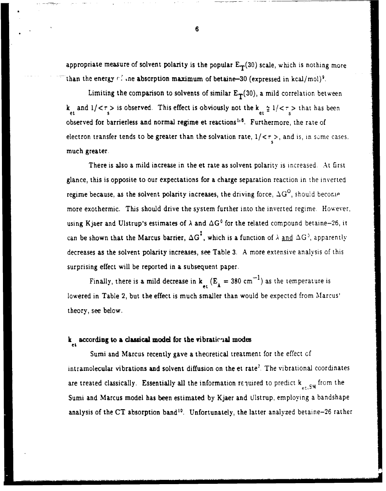appropriate measure of solvent polarity is the popular  $E_T(30)$  scale, which is nothing more than the energy  $r^2$  ine absorption maximum of betaine-30 (expressed in kcal/mol)<sup>9</sup>.

Limiting the comparison to solvents of similar  $E_T(30)$ , a mild correlation between k<sub>at</sub> and  $1/<\tau$  is observed. This effect is obviously not the k<sub>et</sub>  $\frac{\alpha}{2}$  1/ $<\tau$  > that has been observed for barrierless and normal regime et reactions<sup>1,6</sup>. Furthermore, the rate of electron transfer tends to be greater than the solvation rate,  $1/<\tau$ , and is, in some cases much greater.

There is also a mild increase in the et rate as solvent polarity is increased. At first glance, this is opposite to our expectations for a charge separation reaction in the inverted regime because, as the solvent polarity increases, the driving force,  $\Delta G^O$ , should become more exothermic. This should drive the system further into the inverted regime. However, using Kjaer and Ulstrup's estimates of  $\lambda$  and  $\Delta G^0$  for the related compound betaine-26, it can be shown that the Marcus barrier,  $\Delta G^T$ , which is a function of  $\lambda$  and  $\Delta G^T$ , apparently decreases as the solvent polarity increases, see Table 3. A more extensive analysis of this surprising effect will be reported in a subsequent paper.

Finally, there is a mild decrease in  $k_{\text{et}}(E_A = 380 \text{ cm}^{-1})$  as the temperature is lowered in Table 2, but the effect is much smaller than would be expected from Marcus' theory, see below.

### **k** according to a classical model for the vibrational modes

Sumi and Marcus recently gave a theoretical treatment for the effect of intramolecular vibrations and solvent diffusion on the et rate'. The vibrational coordinates are treated classically. Essentially all the information required to predict  $k_{\text{at, SM}}$  from the Sumi and Marcus model has been estimated by Kjaer and Ulstrup, employing a bandshape analysis of the CT absorption band<sup>10</sup>. Unfortunately, the latter analyzed betaine-26 rather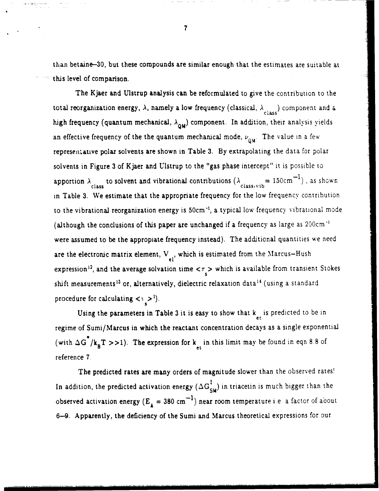than betaine-30, but these compounds are similar enough that the estimates are suitable at this level of comparison.

The Kjaer and Ulstrup analysis can be reformulated to give the contribution to the total reorganization energy,  $\lambda$ , namely a low frequency (classical,  $\lambda$ <sub>class</sub>) component and a high frequency (quantum mechanical,  $\lambda_{QM}$ ) component. In addition, their analysis yields an effective frequency of the the quantum mechanical mode,  $\nu_{0M}$ . The value in a few representative polar solvents are shown in Table 3. By extrapolating the data for polar solvents in Figure 3 of Kjaer and Ulstrup to the "gas phase intercept" it is possible to apportion  $\lambda$  to solvent and vibrational contributions  $(\lambda$  class-vib<sup>= 150cm<sup>-1</sup>), as shown</sup> in Table 3. We estimate that the appropriate frequency for the low frequency contribution to the vibrational reorganization energy is 50cm<sup>-1</sup>, a typical low frequency vibrational mode (although the conclusions of this paper are unchanged if a frequency as large as 200cm **"** were assumed to be the appropiate frequency instead). The additional quantities we need are the electronic matrix element,  $V_{e_1}$ , which is estimated from the Marcus-Hush expression<sup>12</sup>, and the average solvation time  $\langle \tau \rangle$  which is available from transient Stokes shift measurements<sup>13</sup> or, alternatively, dielectric relaxation data<sup>14</sup> (using a standard procedure for calculating  $\langle \cdot, \cdot \rangle$ .

Using the parameters in Table 3 it is easy to show that  $k_{\text{at}}$  is predicted to be in regime of Sumi/Marcus in which the reactant concentration decays as a single exponential (with  $\Delta G^{\dagger}/k_{B}T >> 1$ ). The expression for  $k_{et}$  in this limit may be found in eqn 8.8 of reference **7.**

The predicted rates are many orders of magnitude slower than the observed rates! In addition, the predicted activation energy  $(\Delta G_{SM}^{\ddagger})$  in triacetin is much bigger than the observed activation energy  $(E_A = 380 \text{ cm}^{-1})$  near room temperature i.e. a factor of about 6--9. Apparently, the deficiency of the Sumi and Marcus theoretical expressions for our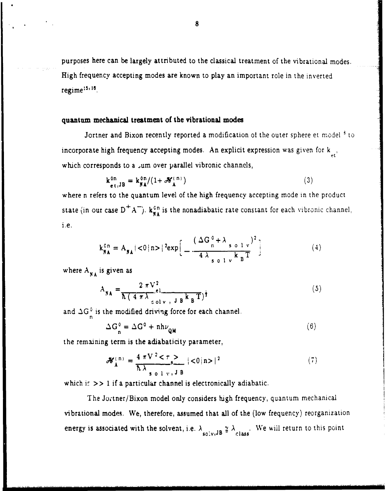purposes here can be largely attributed to the classical treatment of the vibrational modes. High frequency accepting modes are known to play an important role in the inverted regime $:5.16$ .

### quantum mechanical treatment of the vibrational modes

Jortner and Bixon recently reported a modification of the outer sphere et model **3** to incorporate high frequency accepting modes. An explicit expression was given for  $k_{\mu\nu}$ , which corresponds to a *sum* over parallel vibronic channels,

$$
\mathbf{k}_{\mathbf{e}t,\mathbf{JB}}^{\mathbf{on}} = \mathbf{k}_{\mathbf{NA}}^{\mathbf{on}} / (1 + \mathcal{H}_{\mathbf{A}}^{\mathbf{(n)}})
$$
 (3)

where n refers to the quantum level of the high frequency accepting mode in the product state (in our case  $D^+A^-$ ).  $\mathbf{k}_{\mathbf{NA}}^{on}$  is the nonadiabatic rate constant for each vibronic channel, .e.

$$
k_{\mathbf{NA}}^{\text{on}} = A_{\mathbf{NA}} | < 0 | \mathbf{n} > |^{2} \exp \Big[ -\frac{\left( \Delta G_{n}^{\text{o}} + \lambda_{s}^{\text{o}} \right) v_{n}^{2}}{4 \lambda_{s}^{\text{o}} \left( 1 - v_{n}^{\text{N}} \right)^{2}} \Big] \tag{4}
$$

where  $A_{NA}$  is given as

$$
A_{\mathbf{NA}} = \frac{2 \pi V^2}{\hbar (4 \pi \lambda_{\text{colv, J B}} k_B T)^{\frac{1}{2}}}
$$
(5)

and  $\Delta G^0$  is the modified driving force for each channel. n

$$
\Delta G_n^0 = \Delta G^0 + nh\nu_{QM} \tag{6}
$$

the remaining term is the adiabaticity parameter,

$$
\mathcal{H}_{A}^{(n)} = \frac{4 \pi V^{2} < \tau >}{\hbar \lambda_{s=0 \ 1 \ v, J B}} |<0|n> |^{2}
$$
 (7)

which if  $\gg$  1 if a particular channel is electronically adiabatic.

The Jotner/Bixon model only considers high frequency, quantum mechanical vibrational modes. We, therefore, assumed that all of the (low frequency) reorganization energy is associated with the solvent, i.e.  $\lambda_{\text{solv},JB} \ncong \lambda_{\text{class}}$ . We will return to this point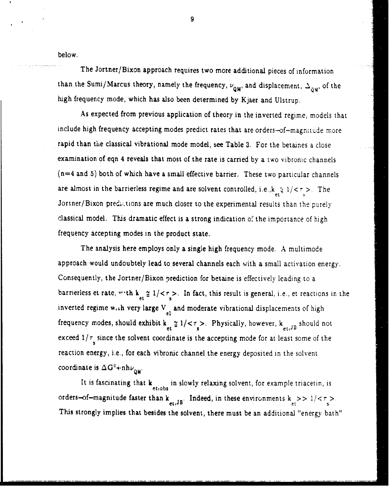below.

The Jortner/Bixon approach requires two more additional pieces of information than the Sumi/Marcus theory, namely the frequency,  $\nu_{QM}$ , and displacement,  $\Delta_{QM}$ , of the high frequency mode, which has also been determined by Kjaer and Ulstrup.

As expected from previous application of theory in the inverted regime, models that include high frequency accepting modes predict rates that are orders-of-magnitude more rapid than the classical vibrational mode model, see Table 3. For the betaines a close examination of eqn 4 reveals that most of the rate is carried by a two vibronic channels (n=4 and 5) both of which have a small effective barrier. These two particular channels are almost in the barrierless regime and are solvent controlled, i.e., $k_{\text{max}} \le 1/\langle \tau \rangle$ . The Jortner/Bixon predictions are much closer to the experimental results than the purely classical model. This dramatic effect is a strong indication of the importance of high frequency accepting modes in the product state.

The analysis here employs only a single high frequency mode. A multimode approach would undoubtely lead to several channels each with a small activation energy. Consequently, the Jortner/Bixon prediction for betaine is effectively leading to a barrierless et rate, with  $k_{et} \approx 1/\langle \tau \rangle$ . In fact, this result is general, i.e., et reactions in the inverted regime w.th very large  $V_{el}$  and moderate vibrational displacements of high frequency modes, should exhibit  $k_{et} \approx 1/\langle \tau_s \rangle$ . Physically, however,  $k_{et,JB}$  should not exceed  $1/\tau$  since the solvent coordinate is the accepting mode for at least some of the reaction energy, i.e., for each vibronic channel the energy deposited in the solvent coordinate is  $\Delta G^0 + nh\nu_{\alpha M}$ .

It is fascinating that  $k_{\text{et,obs}}$  in slowly relaxing solvent, for example triacetin, is orders-of-magnitude faster than  $k_{e,t,JB}$ . Indeed, in these environments  $k_{e,t} >> 1/ $\tau_s > 1$ .$ This strongly implies that besides the solvent, there must be an additional "energy bath"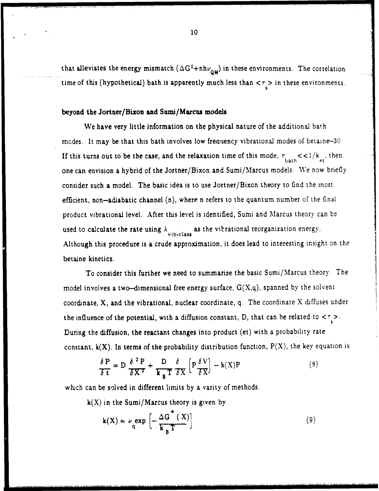that alleviates the energy mismatch  $(\Delta G^0 + nh\nu_{QM})$  in these environments. The correlation time of this (hypothetical) bath is apparently much less than  $\langle \tau_z \rangle$  in these environments.

### beyond the Jortner/Bixon and Sumi/Marcus models

We have very little information on the physical nature of the additional bath modes. It may be that this bath involves low frequency vibrational modes of betaine-30. If this turns out to be the case, and the relaxation time of this mode,  $\tau_{\text{bath}} \ll 1/k_{\text{et}}$ , then one can envision a hybrid of the Jortner/Bixon and Sumi/Marcus models. We now briefly consider such a model. The basic idea is to use Jortner/Bixon theory to find the most efficient, non-adiabatic channel (n), where n refers to the quantum number of the final product vibrational level. After this level is identified, Sumi and Marcus theory can be used to calculate the rate using  $\lambda$  as the vibrational reorganization energy. Although this procedure is a crude approximation, it does lead to interesting insight on the betaine kinetics.

To consider this further we need to summarize the basic Sumi/Marcus theory. The model involves a two-dimensional free energy surface,  $G(X,q)$ , spanned by the solvent coordinate, X, and the vibrational, nuclear coordinate, q. The coordinate X diffuses under the influence of the potential, with a diffusion constant, D, that can be related to  $\langle \tau \rangle$ . During the diffusion, the reactant changes into product (et) with a probability rate constant,  $k(X)$ . In terms of the probability distribution function,  $P(X)$ , the key equation is

$$
\frac{\delta P}{\delta t} = D \frac{\delta^2 P}{\delta X^2} + \frac{D}{k_B T} \frac{\delta}{\delta X} \left[ P \frac{\delta V}{\delta X} \right] - k(X)P \tag{8}
$$

which can be solved in different limits by a varity of methods.

 $k(X)$  in the Sumi/Marcus theory is given by

$$
\mathbf{k}(\mathbf{X}) = \nu_{\mathbf{q}} \exp\left[-\frac{\Delta G^*(\mathbf{X})}{\mathbf{k}_{\mathbf{B}} T}\right]
$$
(9)

**B0**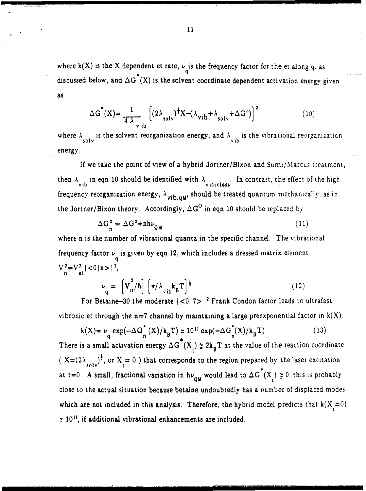where  $\mathbf{k}(X)$  is the X dependent et rate,  $\nu$  is the frequency factor for the et along q, as discussed below, and  $\Delta G^*(X)$  is the solvent coordinate dependent activation energy given as

$$
\Delta G^*(X) = \frac{1}{4 \lambda_{vib}} \left[ (2\lambda_{solv})^{\frac{1}{2}} X - (\lambda_{vib} + \lambda_{solv} + \Delta G^0) \right]^2
$$
 (10)

where  $\lambda$  is the solvent reorganization energy, and  $\lambda$  is the vibrational reorganization energy.

If we take the point of view of a hybrid Jortner/Bixon and Sumi/Marcus treatment, then  $\lambda_{vib}$  in eqn 10 should be identified with  $\lambda_{vib}$ . In contrast, the effect of the high frequency reorganization energy,  $\lambda_{\text{vib},\text{QM}}$ , should be treated quantum mechanically, as in the Jortner/Bixon theory. Accordingly,  $\Delta G^O$  in eqn 10 should be replaced by

$$
\Delta G_n^0 = \Delta G^0 + nh\nu_{QM} \tag{11}
$$

where n is the number of vibrational quanta in the specific channel. The vibrational frequency factor  $\nu$  is given by eqn 12, which includes a dressed matrix element  $V_{n}^{2}=V_{el}^{2}$  | <0|n >|<sup>2</sup>,

$$
\nu_{q} = \left[ V_{n}^{2} / \hbar \right] \left[ \pi / \lambda_{vib} k_{B} T \right]^{\frac{1}{2}}
$$
 (12)

For Betaine-30 the moderate  $|<0|7>$  **Perandicular Factor leads to ultrafast** vibronic et through the n=7 channel by maintaining a large preexponential factor in  $k(X)$ .

$$
k(X) = \nu \underset{q}{\exp}(-\Delta G_n^*(X)/k_B^T) \approx 10^{11} \exp(-\Delta G_n^*(X)/k_B^T)
$$
 (13)

There is a small activation energy  $\Delta G^{T}(X) \approx 2k_B T$  at the value of the reaction coordinate  $(X=(2\lambda_{s_0y})^{\frac{1}{2}})$ , or  $X_i=0$  **)** that corresponds to the region prepared by the laser excitation at t=0. A small, fractional variation in  $h\nu_{QM}$  would lead to  $\Delta G^*(X) \ncong 0$ ; this is probably close to the actual situation because betaine undoubtedly has a number of displaced modes which are not included in this analysis. Therefore, the hybrid model predicts that  $k(X_t = 0)$ **z** 10 **",** if additional vibrational enhancements are included.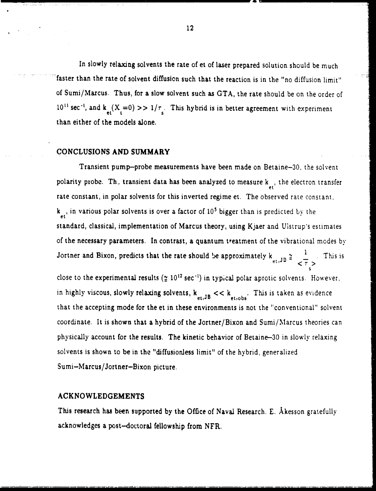In slowly relaxing solvents the rate of et of laser prepared solution should be much faster than the rate of solvent diffusion such that the reaction is in the "no diffusion limit" of Sumi/Marcus. Thus, for a slow solvent such as GTA, the rate should be on the order of  $10^{11}$  sec<sup>-1</sup>, and  $k_{\text{et}}(X_t=0) >> 1/\tau_s$ . This hybrid is in better agreement with experiment than either of the models alone.

### **CONCLUSIONS AND** SUMMARY

Transient pump-probe measurements have been made on Betaine-30, the solvent polarity probe. Th\_ transient data has been analyzed to measure k **,** the electron transfer rate constant, in polar solvents for this inverted regime et. The observed rate constant, k , in various polar solvents is over a factor of **105** bigger than is predicted by the standard, classical, implementation of Marcus theory, using Kjaer and Ulstrup's estimates of the necessary parameters. In contrast, a quantum treatment of the vibrational modes by Jortner and Bixon, predicts that the rate should be approximately  $k_{et,JB} \approx \frac{1}{\sqrt{\tau}}$ . This is **S** close to the experimental results  $(2 \t10^{12} \text{ sec}^{-1})$  in typical polar aprotic solvents. However, in highly viscous, slowly relaxing solvents,  $k_{et,JB} << k_{et,obs}$ . This is taken as evidence that the accepting mode for the et in these environments is not the "conventional" solvent coordinate. It is shown that a hybrid of the Jortner/Bixon and Sumi/Marcus theories can physically account for the results. The kinetic behavior of Betaine-30 in slowly relaxing

solvents is shown to be in the "diffusionless limit" of the hybrid, generalized Sumi-Marcus/Jortner-Bixon picture.

#### **ACKNOWLEDGEMENTS**

This research has been supported by the Office of Naval Research. E. Akesson gratefully acknowledges a post-doctoral fellowship from NFR.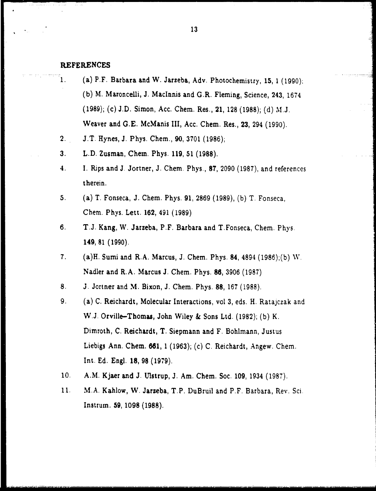### **REFERENCES**

- **1.** (a) P.F. Barbara and W. Jarzeba, Adv. Photochemistry, 15, **1** (1990); (b) M. Maroncelli, **J.** Maclnnis and G.R. Fleming, Science, 243, 1674 (1989); (c) J.D. Simon, Acc. Chem. Res., 21, 128 (1988); (d) M.J. Weaver and G.E. McManis III, Acc. Chem. Res., 23, 294 (1990).
- 2. J.T. Hynes, **J.** Phys. Chem., 90, 3701 (1986);
- 3. L.D. Zusman, Chem. Phys. 119, 51 (1988).
- 4. I. Rips and **J.** Jortner, **J.** Chem. Phys., 87, 2090 (1987), and references therein.
- 5. (a) T. Fonseca, J. Chem. Phys. 91, 2869 (1989), (b) T. Fonseca, Chem. Phys. Lett. 162, 491 (1989)
- 6. T.J. Kang, W. Jarzeba, P.F. Barbara and T.Fonseca, Chem. Phys. 149, 81 (1990).
- 7. (a)H. Sumi and R.A. Marcus, **J.** Chem. Phys. 84, 4894 (1986);(b) W. Nadler and R.A. Marcus J. Chem. Phys. **86,** 3906 (1987)
- 8. **J.** Jortner and M. Bixon, **J.** Chem. Phys. 88, 167 (1988).
- **9.** (a) C. Reichardt, Molecular Interactions, vol 3, eds. H. Ratajczak and W.J. Orville-Thomas, John Wiley & Sons Ltd. (1982); (b) K. Dimroth, C. Reichardt, T. Siepmann and F. Bohlmann, Justus Liebigs Ann. Chem. 681, **1** (1963); (c) C. Reichardt, Angew. Chem. Int. Ed. Engl. 18, 98 (1979).
- **10.** A.M. Kjaer and **J.** Ulstrup, **J.** Am. Chem. Soc. 109, 1934 (1987).
- 11. M.A. Kahlow, W. Jarzeba, T.P. DuBruil and P.F. Barbara, Rev. Sci. Instrum. 59, 1098 (1988).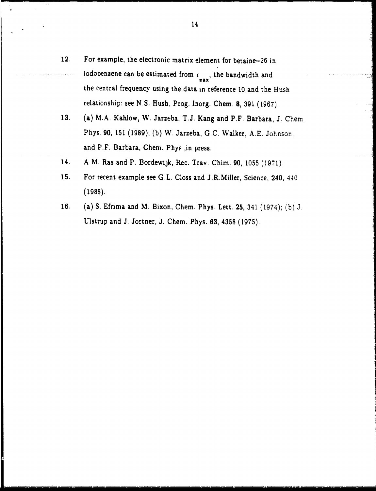- 12. For example, the electronic matrix element for betaine-26 in iodobenzene can be estimated from  $\epsilon_{\texttt{max}}$ , the bandwidth and the central frequency using the data in reference **10** and the Hush relationship: see N.S. Hush, Prog. Inorg. Chem. 8, 391 (1967).
- 13. (a) M.A. Kahlow, W. Jarzeba, T.J. Kang and P.F. Barbara, J. Chem Phys. 90, 151 (1989); (b) W. Jarzeba, G.C. Walker, **A.E.** Johnson, and P.F. Barbara, Chem. Phys ,in press.
- 14. A.M. Ras and P. Bordewijk, Rec. Tray. Chim. 90, 1055 (1971).
- 15. For recent example see G.L. Closs and J.R.Miller, Science, 240, 440 (1988).
- 16. (a) S. Efrima and M. Bixon, Chem. Phys. Lett. 25, 341 (1974); (b) J. Ulstrup and J. Jortner, **J.** Chem. Phys. **63,** 4358 (1975).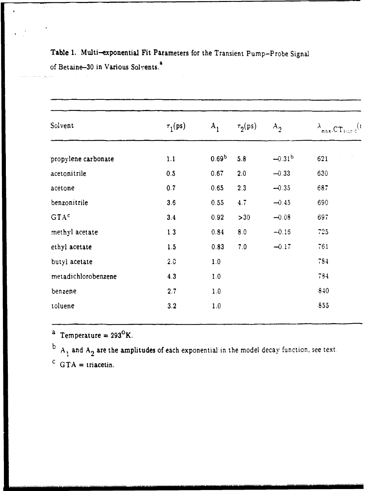| Solvent             | $\tau_1$ (ps) | $A_{1}$           | $\tau_{2}(\text{ps})$ | $A_2$    | $\lambda_{\texttt{max,CT}_{\texttt{bind}}}$ |
|---------------------|---------------|-------------------|-----------------------|----------|---------------------------------------------|
| propylene carbonate | 1.1           | 0.69 <sup>b</sup> | 5.8                   | $-0.31b$ | 621                                         |
| acetonitrile        | 0.5           | 0.67              | 2.0                   | $-0.33$  | 630                                         |
| acetone             | 0.7           | 0.65              | 2.3                   | $-0.35$  | 687                                         |
| benzonitrile        | 3.6           | 0.55              | 4.7                   | $-0.45$  | 690                                         |
| GTA <sup>c</sup>    | 3.4           | 0.92              | >30                   | $-0.08$  | 697                                         |
| methyl acetate      | 1.3           | 0.84              | 8.0                   | $-0.16$  | 725                                         |
| ethyl acetate       | 1.5           | 0.83              | 7.0                   | $-0.17$  | 761                                         |
| butyl acetate       | 2.0           | 1.0               |                       |          | 784                                         |
| metadichlorobenzene | 4.3           | 1.0               |                       |          | 784                                         |
| benzene             | 2.7           | 1.0               |                       |          | 840                                         |
| toluene             | 3.2           | 1.0               |                       |          | 855                                         |

Table 1. Multi-exponential Fit Parameters for the Transient Pump-Probe Signal of Betaine-30 in Various Solvents.<sup>8</sup>

<sup>a</sup> Temperature =  $293^{\circ}$ K.

 $A_1$  and  $A_2$  are the amplitudes of each exponential in the model decay function, see text.  $\mathbf{p}$ <sup>C</sup> GTA = triacetin.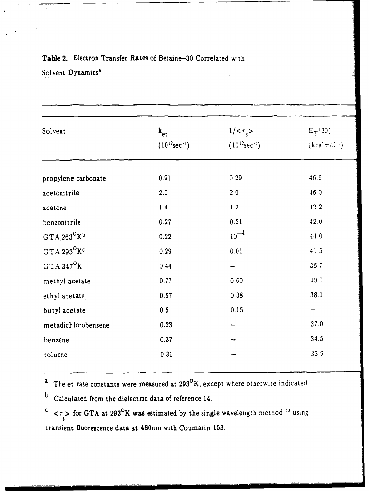| Solvent                       | $k_{et}$<br>$(10^{12}sec^{-1})$ | $1/<\tau_{s}>$<br>$(10^{12}$ sec <sup>-1</sup> ) | $E_T(30)$<br>$(kcalmc$ . |
|-------------------------------|---------------------------------|--------------------------------------------------|--------------------------|
| propylene carbonate           | 0.91                            | 0.29                                             | 46.6                     |
| acetonitrile                  | 2.0                             | 2.0                                              | 46.0                     |
| acetone                       | 1.4                             | 1.2                                              | 42.2                     |
| benzonitrile                  | 0.27                            | 0.21                                             | 42.0                     |
| $GTA, 263^OK^b$               | 0.22                            | $10^{-4}$                                        | 44.0                     |
| $GTA$ , 293 <sup>°</sup> $Kc$ | 0.29                            | 0.01                                             | 41.5                     |
| $GTA, 347^OK$                 | 0.44                            |                                                  | 36.7                     |
| methyl acetate                | 0.77                            | 0.60                                             | 40.0                     |
| ethyl acetate                 | 0.67                            | 0.38                                             | 38.1                     |
| butyl acetate                 | 0.5                             | 0.15                                             |                          |
| metadichlorobenzene           | 0.23                            |                                                  | 37.0                     |
| benzene                       | 0.37                            |                                                  | 34.5                     |
| toluene                       | 0.31                            |                                                  | 33.9                     |

### Table 2. Electron Transfer Rates of Betaine-30 Correlated with

Solvent Dynamics<sup>a</sup>

 $a$  The et rate constants were measured at 293 ${}^{0}$ K, except where otherwise indicated.

b Calculated from the dielectric data of reference 14.

 $c \sim \tau \sim$  for GTA at 293<sup>0</sup>K was estimated by the single wavelength method <sup>13</sup> using **s** transient fluorescence data at 480nm with Coumarin 153.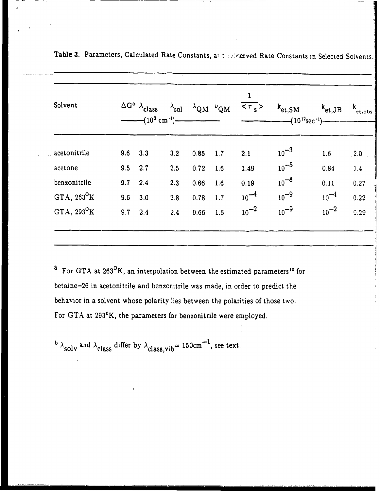| Solvent             |           | $\Delta G^{\circ}$ $\lambda_{\text{class}}$<br>$---(103 cm-1)$ | $\lambda$ sol |      | $\lambda$ QM $\mu$ QM | ı<br>$\frac{1}{5}$ | $k_{\mathrm{et,SM}}$<br>$\left(-\frac{10^{12} \text{sec}^{-1}}{2}\right)$ | $k_{\mathrm{et},\mathrm{JB}}$ | k<br>et,obs |
|---------------------|-----------|----------------------------------------------------------------|---------------|------|-----------------------|--------------------|---------------------------------------------------------------------------|-------------------------------|-------------|
| acetonitrile        | 9.6       | 3.3                                                            | 3.2           | 0.85 | 1.7                   | 2.1                | $10^{-3}$                                                                 | 1.6                           | 2.0         |
| acetone             | $9.5$ 2.7 |                                                                | 2.5           | 0.72 | 1.6                   | 1.49               | $10^{-5}$                                                                 | 0.84                          | 1.4         |
| benzonitrile        | 9.7       | 2.4                                                            | 2.3           | 0.66 | 1.6                   | 0.19               | $10^{-8}$                                                                 | 0.11                          | 0.27        |
| GTA, $263^{\circ}K$ | 9.6       | 3.0                                                            | 2.8           | 0.78 | 1.7                   | $10^{-4}$          | $10^{-9}$                                                                 | $10^{-4}$                     | 0.22        |
| GTA, $293^{\circ}K$ | 9.7       | 2.4                                                            | 2.4           | 0.66 | 1.6                   | $10^{-2}$          | $10^{-9}$                                                                 | $10^{-2}$                     | 0.29        |

| Table 3. Parameters, Calculated Rate Constants, and obligerved Rate Constants in Selected Solvents. |
|-----------------------------------------------------------------------------------------------------|
|-----------------------------------------------------------------------------------------------------|

 $a$  For GTA at 263<sup>o</sup>K, an interpolation between the estimated parameters<sup>10</sup> for betaine-26 in acetonitrile and benzonitrile was made, in order to predict the behavior in a solvent whose polarity lies between the polarities of those two. For GTA at 293°K, the parameters for benzonitrile were employed.

 $b \lambda_{\text{solv}}$  and  $\lambda_{\text{class}}$  differ by  $\lambda_{\text{class,vib}} = 150 \text{cm}^{-1}$ , see text.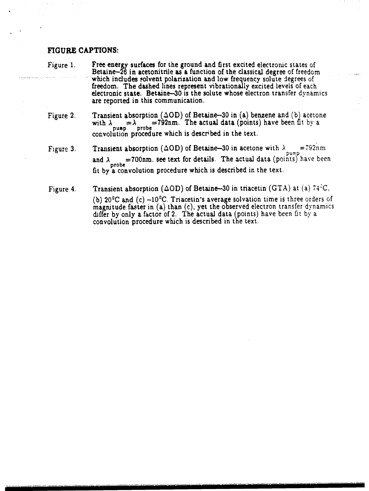### **FIGURE CAPTIONS:**

- Figure 1. Free energy surfaces for the ground and first excited electronic states of Betaine-26 in acetonitrile as a function of the classical degree of freedom which includes solvent polarization and low frequency solute degrees of freedom. The dashed lines represent vibrationally excited levels of each electronic state. Betaine-30 is the solute whose electron transfer dynamics are reported in this communication.
- Figure 2. Transient absorption  $(\Delta OD)$  of Betaine-30 in (a) benzene and (b) acetone with  $\lambda_{\text{pump}} = \lambda_{\text{probe}} = 792$ nm. The actual data (points) have been fit by a convolution procedure which is described in the text.
- Figure 3. Transient absorption ( $\Delta OD$ ) of Betaine-30 in acetone with  $\lambda_{\text{pump}} = 792$ nm and  $\lambda$  =700nm. see text for details. The actual data (points) have been fit by a convolution procedure which is described in the text.
- Figure 4. Transient absorption ( $\Delta OD$ ) of Betaine-30 in triacetin (GTA) at (a) 74<sup>3</sup>C,

(b)  $20^{\circ}$ C and (c)  $-10^{\circ}$ C. Triacetin's average solvation time is three orders of magnitude faster in (a) than (c), yet the observed electron transfer dynamics differ by only a factor of 2. The actual data (points) have been fit by a convolution procedure which is described in the text.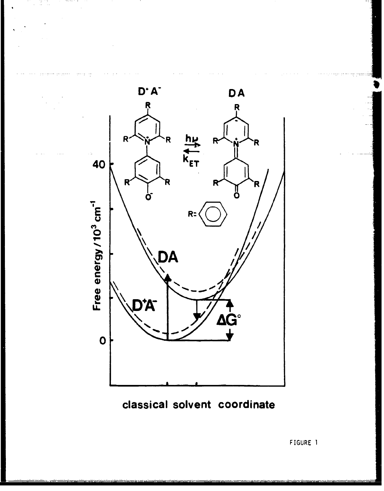

classical solvent coordinate

FIGURE 1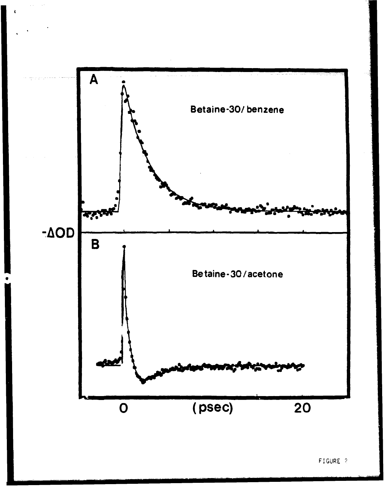

 $\lambda$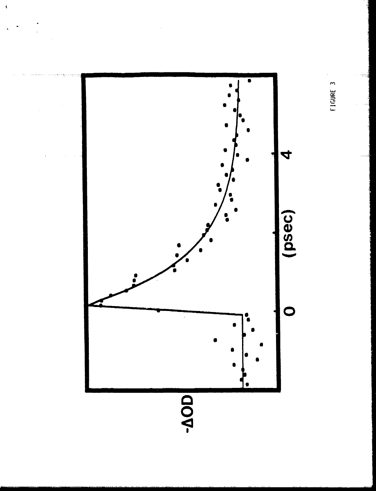

 $\ddot{\bullet}$ 

FIGURE 3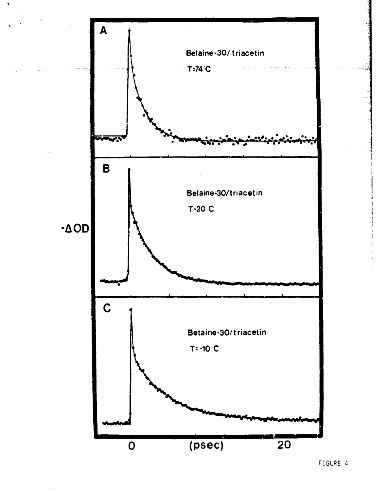

 $\bar{\mathbf{x}}$ 

FIGURE 4